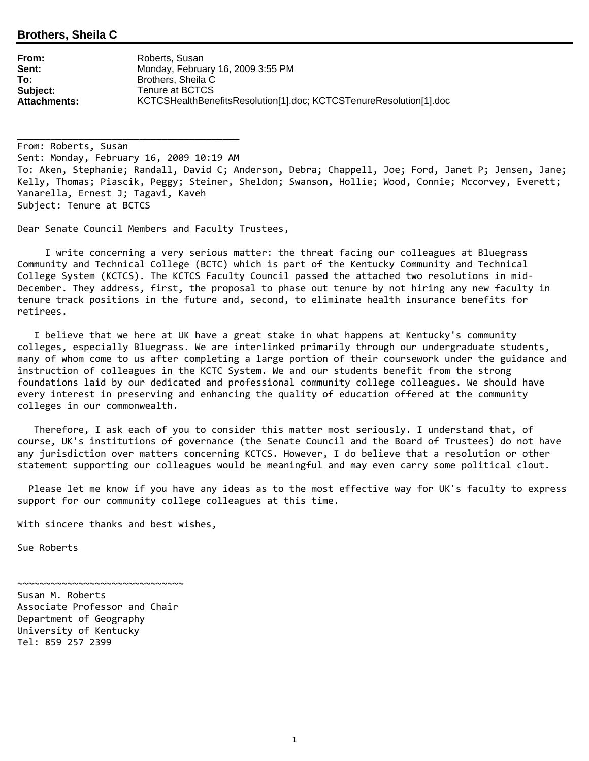## **Brothers, Sheila C**

| From:        | Roberts, Susan                                                     |
|--------------|--------------------------------------------------------------------|
| Sent:        | Monday, February 16, 2009 3:55 PM                                  |
| To:          | Brothers, Sheila C                                                 |
| Subject:     | Tenure at BCTCS                                                    |
| Attachments: | KCTCSHealthBenefitsResolution[1].doc; KCTCSTenureResolution[1].doc |

From: Roberts, Susan Sent: Monday, February 16, 2009 10:19 AM To: Aken, Stephanie; Randall, David C; Anderson, Debra; Chappell, Joe; Ford, Janet P; Jensen, Jane; Kelly, Thomas; Piascik, Peggy; Steiner, Sheldon; Swanson, Hollie; Wood, Connie; Mccorvey, Everett; Yanarella, Ernest J; Tagavi, Kaveh Subject: Tenure at BCTCS

Dear Senate Council Members and Faculty Trustees,

\_\_\_\_\_\_\_\_\_\_\_\_\_\_\_\_\_\_\_\_\_\_\_\_\_\_\_\_\_\_\_\_\_\_\_\_\_\_\_\_

 I write concerning a very serious matter: the threat facing our colleagues at Bluegrass Community and Technical College (BCTC) which is part of the Kentucky Community and Technical College System (KCTCS). The KCTCS Faculty Council passed the attached two resolutions in mid‐ December. They address, first, the proposal to phase out tenure by not hiring any new faculty in tenure track positions in the future and, second, to eliminate health insurance benefits for retirees.

 I believe that we here at UK have a great stake in what happens at Kentucky's community colleges, especially Bluegrass. We are interlinked primarily through our undergraduate students, many of whom come to us after completing a large portion of their coursework under the guidance and instruction of colleagues in the KCTC System. We and our students benefit from the strong foundations laid by our dedicated and professional community college colleagues. We should have every interest in preserving and enhancing the quality of education offered at the community colleges in our commonwealth.

 Therefore, I ask each of you to consider this matter most seriously. I understand that, of course, UK's institutions of governance (the Senate Council and the Board of Trustees) do not have any jurisdiction over matters concerning KCTCS. However, I do believe that a resolution or other statement supporting our colleagues would be meaningful and may even carry some political clout.

 Please let me know if you have any ideas as to the most effective way for UK's faculty to express support for our community college colleagues at this time.

With sincere thanks and best wishes,

Sue Roberts

Susan M. Roberts Associate Professor and Chair Department of Geography University of Kentucky Tel: 859 257 2399

~~~~~~~~~~~~~~~~~~~~~~~~~~~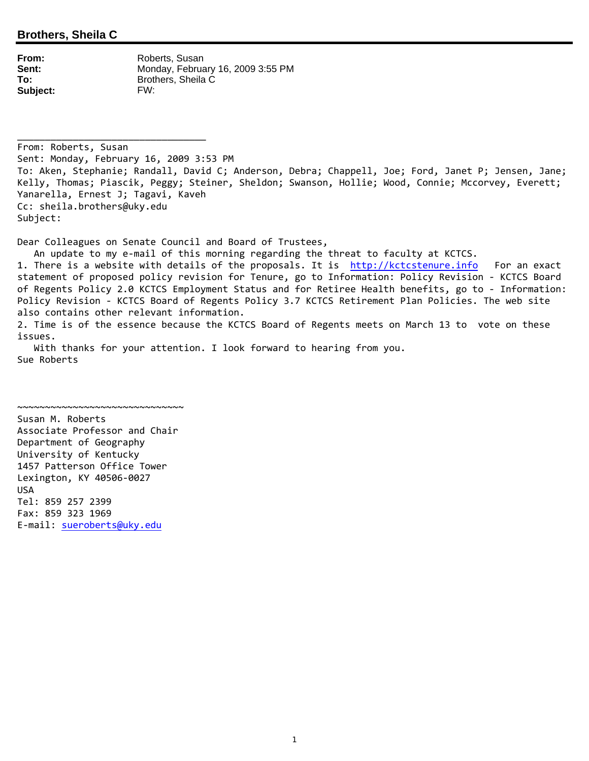**From:** Roberts, Susan **Sent:** Monday, February 16, 2009 3:55 PM **To:** Brothers, Sheila C **Subject:** FW:

\_\_\_\_\_\_\_\_\_\_\_\_\_\_\_\_\_\_\_\_\_\_\_\_\_\_\_\_\_\_\_\_\_\_

From: Roberts, Susan Sent: Monday, February 16, 2009 3:53 PM To: Aken, Stephanie; Randall, David C; Anderson, Debra; Chappell, Joe; Ford, Janet P; Jensen, Jane; Kelly, Thomas; Piascik, Peggy; Steiner, Sheldon; Swanson, Hollie; Wood, Connie; Mccorvey, Everett; Yanarella, Ernest J; Tagavi, Kaveh Cc: sheila.brothers@uky.edu Subject:

Dear Colleagues on Senate Council and Board of Trustees,

An update to my e‐mail of this morning regarding the threat to faculty at KCTCS.

1. There is a website with details of the proposals. It is http://kctcstenure.info For an exact statement of proposed policy revision for Tenure, go to Information: Policy Revision ‐ KCTCS Board of Regents Policy 2.0 KCTCS Employment Status and for Retiree Health benefits, go to ‐ Information: Policy Revision ‐ KCTCS Board of Regents Policy 3.7 KCTCS Retirement Plan Policies. The web site also contains other relevant information. 2. Time is of the essence because the KCTCS Board of Regents meets on March 13 to vote on these

 With thanks for your attention. I look forward to hearing from you. Sue Roberts

Susan M. Roberts Associate Professor and Chair Department of Geography University of Kentucky 1457 Patterson Office Tower Lexington, KY 40506‐0027 USA Tel: 859 257 2399 Fax: 859 323 1969 E‐mail: sueroberts@uky.edu

 $\sim$ ~~~~~~~~~~~~~~~~~~~~~~~~~~~~~~~~~~

issues.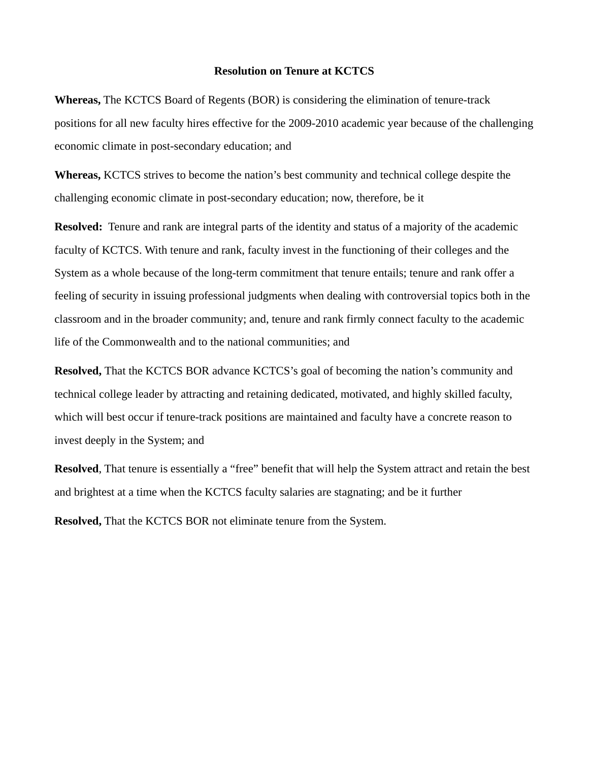## **Resolution on Tenure at KCTCS**

**Whereas,** The KCTCS Board of Regents (BOR) is considering the elimination of tenure-track positions for all new faculty hires effective for the 2009-2010 academic year because of the challenging economic climate in post-secondary education; and

**Whereas,** KCTCS strives to become the nation's best community and technical college despite the challenging economic climate in post-secondary education; now, therefore, be it

**Resolved:** Tenure and rank are integral parts of the identity and status of a majority of the academic faculty of KCTCS. With tenure and rank, faculty invest in the functioning of their colleges and the System as a whole because of the long-term commitment that tenure entails; tenure and rank offer a feeling of security in issuing professional judgments when dealing with controversial topics both in the classroom and in the broader community; and, tenure and rank firmly connect faculty to the academic life of the Commonwealth and to the national communities; and

**Resolved,** That the KCTCS BOR advance KCTCS's goal of becoming the nation's community and technical college leader by attracting and retaining dedicated, motivated, and highly skilled faculty, which will best occur if tenure-track positions are maintained and faculty have a concrete reason to invest deeply in the System; and

**Resolved**, That tenure is essentially a "free" benefit that will help the System attract and retain the best and brightest at a time when the KCTCS faculty salaries are stagnating; and be it further

**Resolved,** That the KCTCS BOR not eliminate tenure from the System.